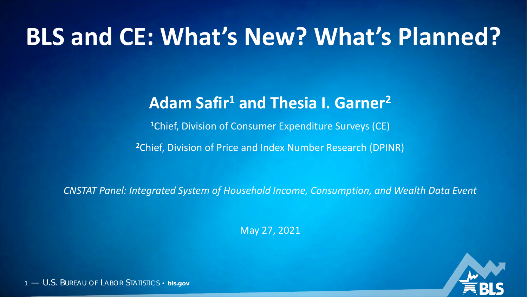# **BLS and CE: What's New? What's Planned?**

## **Adam Safir1 and Thesia I. Garner2**

**<sup>1</sup>**Chief, Division of Consumer Expenditure Surveys (CE)

**<sup>2</sup>**Chief, Division of Price and Index Number Research (DPINR)

*CNSTAT Panel: Integrated System of Household Income, Consumption, and Wealth Data Event*

May 27, 2021



1 — U.S. BUREAU OF LABOR STATISTICS • **bls.gov**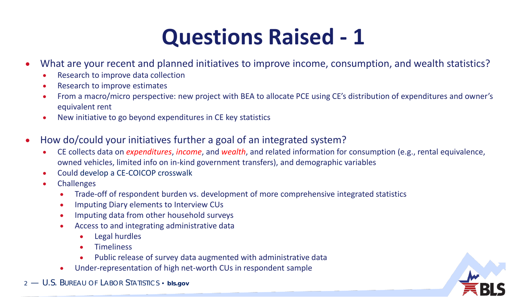## **Questions Raised - 1**

- What are your recent and planned initiatives to improve income, consumption, and wealth statistics?
	- Research to improve data collection
	- Research to improve estimates
	- From a macro/micro perspective: new project with BEA to allocate PCE using CE's distribution of expenditures and owner's equivalent rent
	- New initiative to go beyond expenditures in CE key statistics
- How do/could your initiatives further a goal of an integrated system?
	- CE collects data on *expenditures*, *income*, and *wealth*, and related information for consumption (e.g., rental equivalence, owned vehicles, limited info on in-kind government transfers), and demographic variables
	- Could develop a CE-COICOP crosswalk
	- **Challenges** 
		- Trade-off of respondent burden vs. development of more comprehensive integrated statistics
		- Imputing Diary elements to Interview CUs
		- Imputing data from other household surveys
		- Access to and integrating administrative data
			- Legal hurdles
			- Timeliness
			- Public release of survey data augmented with administrative data
		- Under-representation of high net-worth CUs in respondent sample
- 2 U.S. BUREAU OF LABOR STATISTICS **bls.gov**

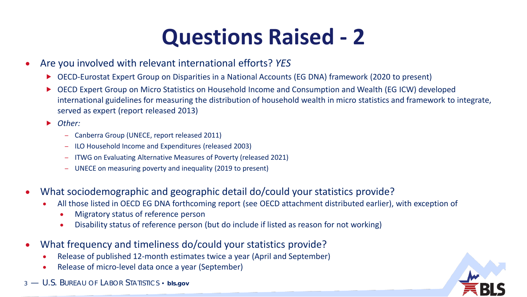# **Questions Raised - 2**

- Are you involved with relevant international efforts? *YES*
	- ▶ OECD-Eurostat Expert Group on Disparities in a National Accounts (EG DNA) framework (2020 to present)
	- OECD Expert Group on Micro Statistics on Household Income and Consumption and Wealth (EG ICW) developed international guidelines for measuring the distribution of household wealth in micro statistics and framework to integrate, served as expert (report released 2013)
	- *Other:* 
		- Canberra Group (UNECE, report released 2011)
		- ILO Household Income and Expenditures (released 2003)
		- ITWG on Evaluating Alternative Measures of Poverty (released 2021)
		- UNECE on measuring poverty and inequality (2019 to present)
- What sociodemographic and geographic detail do/could your statistics provide?
	- All those listed in OECD EG DNA forthcoming report (see OECD attachment distributed earlier), with exception of
		- Migratory status of reference person
		- Disability status of reference person (but do include if listed as reason for not working)
- What frequency and timeliness do/could your statistics provide?
	- Release of published 12-month estimates twice a year (April and September)
	- Release of micro-level data once a year (September)
- 3 U.S. BUREAU OF LABOR STATISTICS **bls.gov**

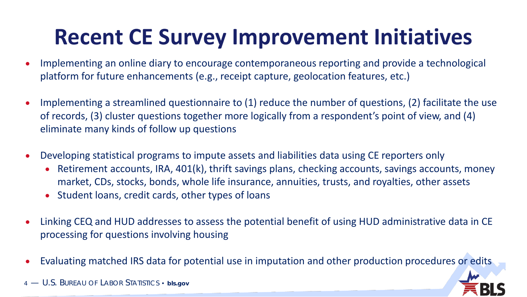# **Recent CE Survey Improvement Initiatives**

- Implementing an online diary to encourage contemporaneous reporting and provide a technological platform for future enhancements (e.g., receipt capture, geolocation features, etc.)
- Implementing a streamlined questionnaire to (1) reduce the number of questions, (2) facilitate the use of records, (3) cluster questions together more logically from a respondent's point of view, and (4) eliminate many kinds of follow up questions
- Developing statistical programs to impute assets and liabilities data using CE reporters only
	- Retirement accounts, IRA, 401(k), thrift savings plans, checking accounts, savings accounts, money market, CDs, stocks, bonds, whole life insurance, annuities, trusts, and royalties, other assets
	- Student loans, credit cards, other types of loans
- Linking CEQ and HUD addresses to assess the potential benefit of using HUD administrative data in CE processing for questions involving housing
- Evaluating matched IRS data for potential use in imputation and other production procedures or edits

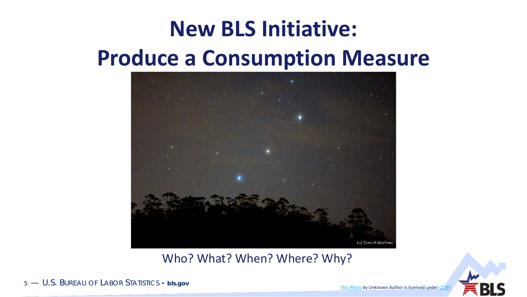# **New BLS Initiative: Produce a Consumption Measure**



Who? What? When? Where? Why?



5 — U.S. BUREAU OF LABOR STATISTICS • **bls.gov**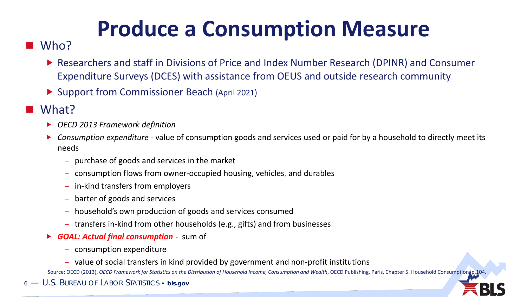# **Produce a Consumption Measure**

#### Who?

- ▶ Researchers and staff in Divisions of Price and Index Number Research (DPINR) and Consumer Expenditure Surveys (DCES) with assistance from OEUS and outside research community
- ▶ Support from Commissioner Beach (April 2021)

#### What?

- *OECD 2013 Framework definition*
- *Consumption expenditure -* value of consumption goods and services used or paid for by a household to directly meet its needs
	- purchase of goods and services in the market
	- consumption flows from owner-occupied housing, vehicles, and durables
	- in-kind transfers from employers
	- barter of goods and services
	- household's own production of goods and services consumed
	- transfers in-kind from other households (e.g., gifts) and from businesses
- *GOAL: Actual final consumption -* sum of
	- consumption expenditure
	- value of social transfers in kind provided by government and non-profit institutions

Source: OECD (2013), *OECD Framework for Statistics on the Distribution of Household Income, Consumption and Wealth*, OECD Publishing, Paris, Chapter 5. Household Consumption o.104

6 — U.S. BUREAU OF LABOR STATISTICS • **bls.gov**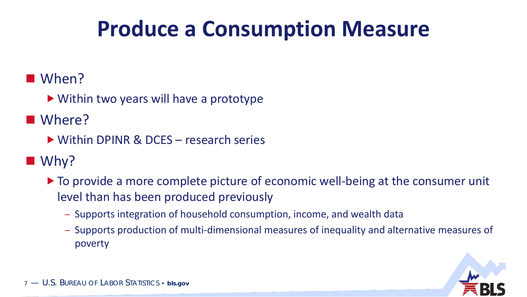## **Produce a Consumption Measure**

### When?

▶ Within two years will have a prototype

### ■ Where?

▶ Within DPINR & DCES – research series

### ■ Why?

- $\triangleright$  To provide a more complete picture of economic well-being at the consumer unit level than has been produced previously
	- Supports integration of household consumption, income, and wealth data
	- Supports production of multi-dimensional measures of inequality and alternative measures of poverty

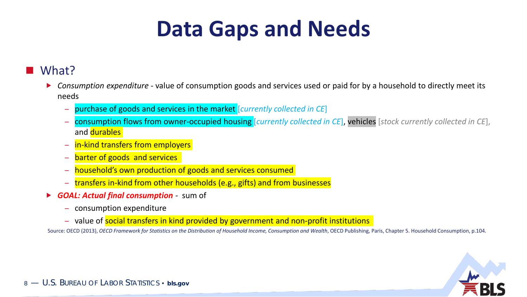## **Data Gaps and Needs**

#### What?

- *Consumption expenditure -* value of consumption goods and services used or paid for by a household to directly meet its needs
	- purchase of goods and services in the market [*currently collected in CE*]
	- consumption flows from owner-occupied housing [*currently collected in CE*], vehicles [*stock currently collected in CE*], and durables
	- in-kind transfers from employers
	- barter of goods and services
	- household's own production of goods and services consumed
	- transfers in-kind from other households (e.g., gifts) and from businesses
- *GOAL: Actual final consumption -* sum of
	- consumption expenditure
	- value of social transfers in kind provided by government and non-profit institutions

Source: OECD (2013), OECD Framework for Statistics on the Distribution of Household Income, Consumption and Wealth, OECD Publishing, Paris, Chapter 5. Household Consumption, p.104.